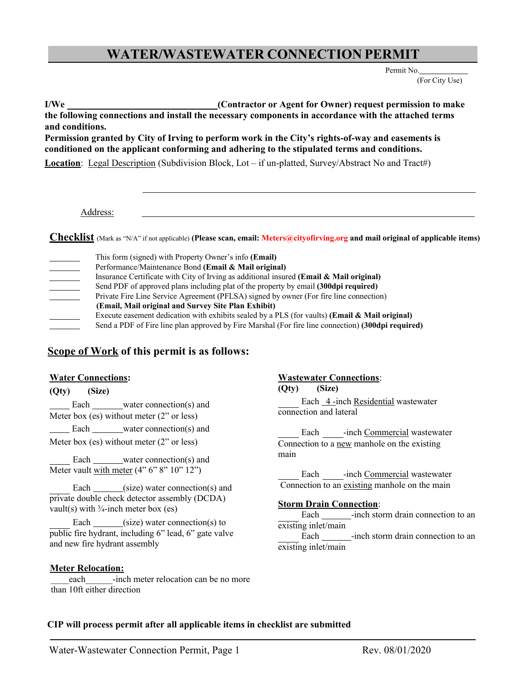# **WATER/WASTEWATER CONNECTION PERMIT**

Permit No. (For City Use)

**I/We (Contractor or Agent for Owner) request permission to make the following connections and install the necessary components in accordance with the attached terms and conditions.**

**Permission granted by City of Irving to perform work in the City's rights-of-way and easements is conditioned on the applicant conforming and adhering to the stipulated terms and conditions.**

**Location**: Legal Description (Subdivision Block, Lot – if un-platted, Survey/Abstract No and Tract#)

Address:

**Checklist** (Mark as "N/A" if not applicable) **(Please scan, email: Meters@cityofirving.org and mail original of applicable items)**

| This form (signed) with Property Owner's info ( <b>Email</b> )                                     |
|----------------------------------------------------------------------------------------------------|
| Performance/Maintenance Bond (Email & Mail original)                                               |
| Insurance Certificate with City of Irving as additional insured (Email & Mail original)            |
| Send PDF of approved plans including plat of the property by email (300dpi required)               |
| Private Fire Line Service Agreement (PFLSA) signed by owner (For fire line connection)             |
| (Email, Mail original and Survey Site Plan Exhibit)                                                |
| Execute easement dedication with exhibits sealed by a PLS (for vaults) (Email $\&$ Mail original)  |
| Send a PDF of Fire line plan approved by Fire Marshal (For fire line connection) (300dpi required) |

## **Scope of Work of this permit is as follows:**

## **Water Connections:**

**(Qty) (Size)**

Each water connection(s) and Meter box (es) without meter (2" or less)

Meter box (es) without meter (2" or less)

Each water connection(s) and Meter vault with meter (4" 6" 8" 10" 12") Each -inch Commercial wastewater

Each \_\_\_\_\_(size) water connection(s) and private double check detector assembly (DCDA) vault(s) with  $\frac{3}{4}$ -inch meter box (es)

Each  $\_\_\_\$ (size) water connection(s) to public fire hydrant, including 6" lead, 6" gate valve and new fire hydrant assembly

## **Meter Relocation:**

each -inch meter relocation can be no more than 10ft either direction

## **Wastewater Connections**:

**(Qty) (Size)**

Each 4-inch Residential wastewater connection and lateral

Each water connection(s) and Each -inch Commercial wastewater Connection to a new manhole on the existing main

Connection to an existing manhole on the main

## **Storm Drain Connection**:

Each -inch storm drain connection to an existing inlet/main

Each -inch storm drain connection to an existing inlet/main

## **CIP will process permit after all applicable items in checklist are submitted**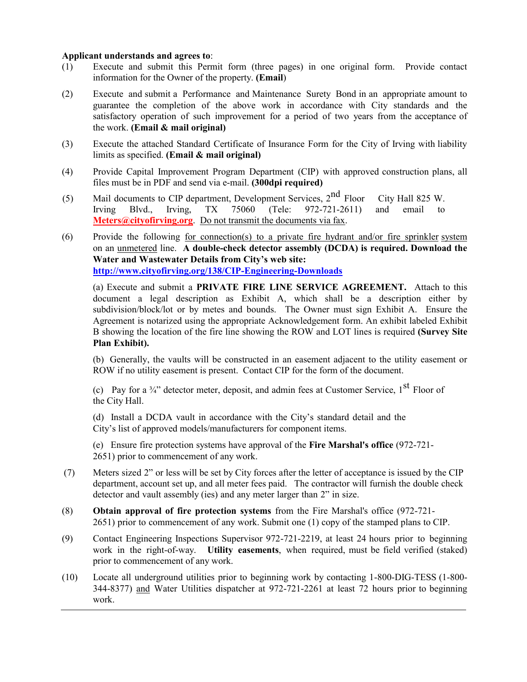#### **Applicant understands and agrees to**:

- (1) Execute and submit this Permit form (three pages) in one original form. Provide contact information for the Owner of the property. **(Email**)
- (2) Execute and submit a Performance and Maintenance Surety Bond in an appropriate amount to guarantee the completion of the above work in accordance with City standards and the satisfactory operation of such improvement for a period of two years from the acceptance of the work. **(Email & mail original)**
- (3) Execute the attached Standard Certificate of Insurance Form for the City of Irving with liability limits as specified. **(Email & mail original)**
- (4) Provide Capital Improvement Program Department (CIP) with approved construction plans, all files must be in PDF and send via e-mail. **(300dpi required)**
- (5) Mail documents to CIP department, Development Services, 2<sup>nd</sup> Floor City Hall 825 W. Irving Blvd., Irving, TX 75060 (Tele: 972-721-2611) and email to **Meters@cityofirving.org.** Do not transmit the documents via fax.
- (6) Provide the following for connection(s) to a private fire hydrant and/or fire sprinkler system on an unmetered line. **A double-check detector assembly (DCDA) is required. Download the Water and Wastewater Details from City's web site: <http://www.cityofirving.org/138/CIP-Engineering-Downloads>**

(a) Execute and submit a **PRIVATE FIRE LINE SERVICE AGREEMENT.** Attach to this document a legal description as Exhibit A, which shall be a description either by subdivision/block/lot or by metes and bounds. The Owner must sign Exhibit A. Ensure the Agreement is notarized using the appropriate Acknowledgement form. An exhibit labeled Exhibit B showing the location of the fire line showing the ROW and LOT lines is required **(Survey Site Plan Exhibit).**

(b) Generally, the vaults will be constructed in an easement adjacent to the utility easement or ROW if no utility easement is present. Contact CIP for the form of the document.

(c) Pay for a  $\frac{3}{4}$  detector meter, deposit, and admin fees at Customer Service, 1<sup>st</sup> Floor of the City Hall.

(d) Install a DCDA vault in accordance with the City's standard detail and the City's list of approved models/manufacturers for component items.

(e) Ensure fire protection systems have approval of the **Fire Marshal's office** (972-721- 2651) prior to commencement of any work.

- (7) Meters sized 2" or less will be set by City forces after the letter of acceptance is issued by the CIP department, account set up, and all meter fees paid. The contractor will furnish the double check detector and vault assembly (ies) and any meter larger than 2" in size.
- (8) **Obtain approval of fire protection systems** from the Fire Marshal's office (972-721- 2651) prior to commencement of any work. Submit one (1) copy of the stamped plans to CIP.
- (9) Contact Engineering Inspections Supervisor 972-721-2219, at least 24 hours prior to beginning work in the right-of-way. **Utility easements**, when required, must be field verified (staked) prior to commencement of any work.
- (10) Locate all underground utilities prior to beginning work by contacting 1-800-DIG-TESS (1-800- 344-8377) and Water Utilities dispatcher at 972-721-2261 at least 72 hours prior to beginning work.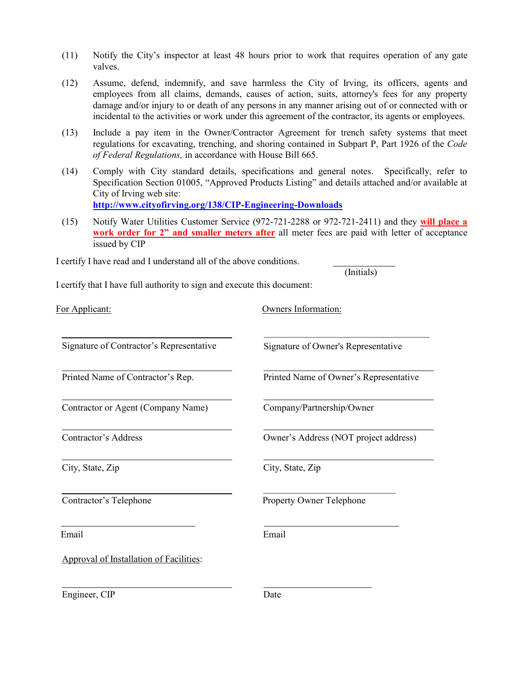- (11) Notify the City's inspector at least 48 hours prior to work that requires operation of any gate valves.
- (12) Assume, defend, indemnify, and save harmless the City of Irving, its officers, agents and employees from all claims, demands, causes of action, suits, attorney's fees for any property damage and/or injury to or death of any persons in any manner arising out of or connected with or incidental to the activities or work under this agreement of the contractor, its agents or employees.
- (13) Include a pay item in the Owner/Contractor Agreement for trench safety systems that meet regulations for excavating, trenching, and shoring contained in Subpart P, Part 1926 of the *Code of Federal Regulations,* in accordance with House Bill 665.
- (14) Comply with City standard details, specifications and general notes. Specifically, refer to Specification Section 01005, "Approved Products Listing" and details attached and/or available at City of Irving web site: **<http://www.cityofirving.org/138/CIP-Engineering-Downloads>**
- (15) Notify Water Utilities Customer Service (972-721-2288 or 972-721-2411) and they **will place a work order for 2" and smaller meters after** all meter fees are paid with letter of acceptance issued by CIP

(Initials)

I certify I have read and I understand all of the above conditions.

I certify that I have full authority to sign and execute this document:

| For Applicant:                           | Owners Information:                    |  |  |  |  |  |
|------------------------------------------|----------------------------------------|--|--|--|--|--|
| Signature of Contractor's Representative | Signature of Owner's Representative    |  |  |  |  |  |
| Printed Name of Contractor's Rep.        | Printed Name of Owner's Representative |  |  |  |  |  |
| Contractor or Agent (Company Name)       | Company/Partnership/Owner              |  |  |  |  |  |
| Contractor's Address                     | Owner's Address (NOT project address)  |  |  |  |  |  |
| City, State, Zip                         | City, State, Zip                       |  |  |  |  |  |
| Contractor's Telephone                   | <b>Property Owner Telephone</b>        |  |  |  |  |  |
| Email                                    | Email                                  |  |  |  |  |  |
| Approval of Installation of Facilities:  |                                        |  |  |  |  |  |
|                                          |                                        |  |  |  |  |  |

Engineer, CIP Date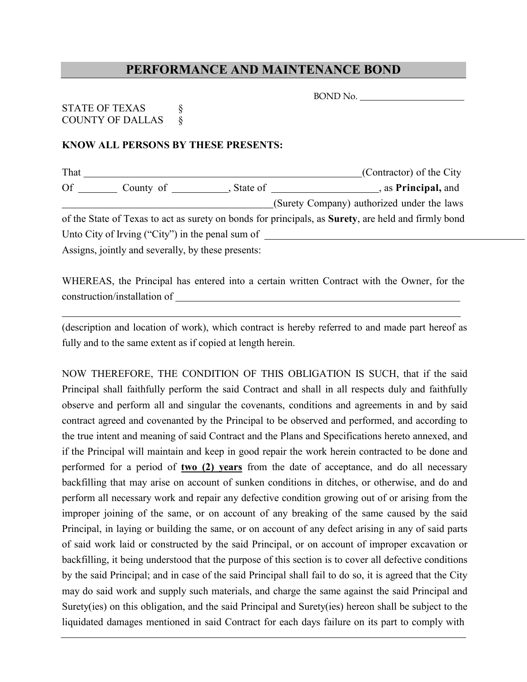## **PERFORMANCE AND MAINTENANCE BOND**

## STATE OF TEXAS § COUNTY OF DALLAS  $\&$

## **KNOW ALL PERSONS BY THESE PRESENTS:**

| That      |                                                    |            | (Contractor) of the City                                                                            |
|-----------|----------------------------------------------------|------------|-----------------------------------------------------------------------------------------------------|
| <b>Of</b> | County of                                          | , State of | , as <b>Principal</b> , and                                                                         |
|           |                                                    |            | (Surety Company) authorized under the laws                                                          |
|           |                                                    |            | of the State of Texas to act as surety on bonds for principals, as Surety, are held and firmly bond |
|           | Unto City of Irving ("City") in the penal sum of   |            |                                                                                                     |
|           | Assigns, jointly and severally, by these presents: |            |                                                                                                     |

WHEREAS, the Principal has entered into a certain written Contract with the Owner, for the construction/installation of

(description and location of work), which contract is hereby referred to and made part hereof as fully and to the same extent as if copied at length herein.

NOW THEREFORE, THE CONDITION OF THIS OBLIGATION IS SUCH, that if the said Principal shall faithfully perform the said Contract and shall in all respects duly and faithfully observe and perform all and singular the covenants, conditions and agreements in and by said contract agreed and covenanted by the Principal to be observed and performed, and according to the true intent and meaning of said Contract and the Plans and Specifications hereto annexed, and if the Principal will maintain and keep in good repair the work herein contracted to be done and performed for a period of **two (2) years** from the date of acceptance, and do all necessary backfilling that may arise on account of sunken conditions in ditches, or otherwise, and do and perform all necessary work and repair any defective condition growing out of or arising from the improper joining of the same, or on account of any breaking of the same caused by the said Principal, in laying or building the same, or on account of any defect arising in any of said parts of said work laid or constructed by the said Principal, or on account of improper excavation or backfilling, it being understood that the purpose of this section is to cover all defective conditions by the said Principal; and in case of the said Principal shall fail to do so, it is agreed that the City may do said work and supply such materials, and charge the same against the said Principal and Surety(ies) on this obligation, and the said Principal and Surety(ies) hereon shall be subject to the liquidated damages mentioned in said Contract for each days failure on its part to comply with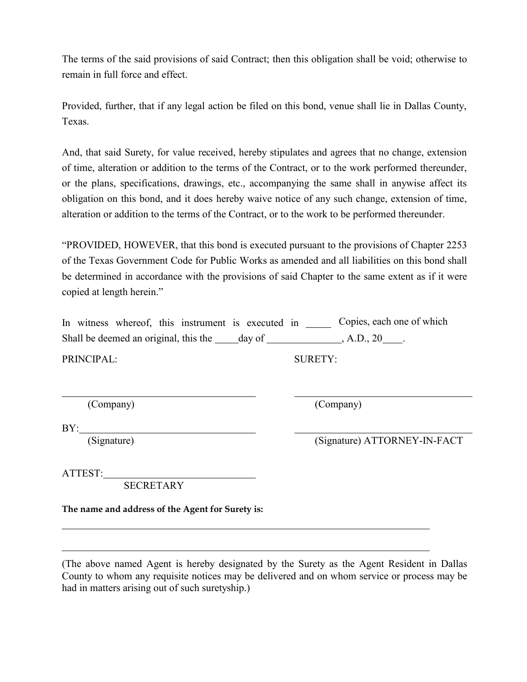The terms of the said provisions of said Contract; then this obligation shall be void; otherwise to remain in full force and effect.

Provided, further, that if any legal action be filed on this bond, venue shall lie in Dallas County, Texas.

And, that said Surety, for value received, hereby stipulates and agrees that no change, extension of time, alteration or addition to the terms of the Contract, or to the work performed thereunder, or the plans, specifications, drawings, etc., accompanying the same shall in anywise affect its obligation on this bond, and it does hereby waive notice of any such change, extension of time, alteration or addition to the terms of the Contract, or to the work to be performed thereunder.

"PROVIDED, HOWEVER, that this bond is executed pursuant to the provisions of Chapter 2253 of the Texas Government Code for Public Works as amended and all liabilities on this bond shall be determined in accordance with the provisions of said Chapter to the same extent as if it were copied at length herein."

|  |                                       | In witness whereof, this instrument is executed in |        |  | Copies, each one of which |  |
|--|---------------------------------------|----------------------------------------------------|--------|--|---------------------------|--|
|  | Shall be deemed an original, this the |                                                    | day of |  | $, A.D., 20$ .            |  |

PRINCIPAL: SURETY:

(Company) (Company)

BY:

(Signature) (Signature) ATTORNEY-IN-FACT

ATTEST:

SECRETARY

**The name and address of the Agent for Surety is:**

(The above named Agent is hereby designated by the Surety as the Agent Resident in Dallas County to whom any requisite notices may be delivered and on whom service or process may be had in matters arising out of such suretyship.)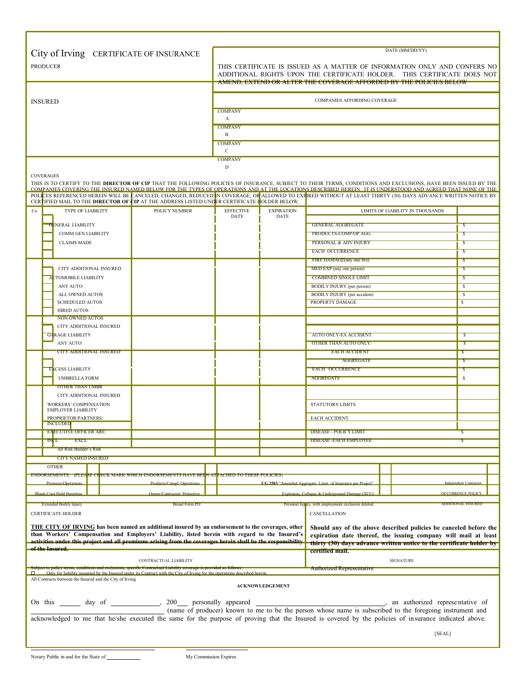| City of Irving CERTIFICATE OF INSURANCE                                                                                                                                                                                                                                                                                   |                                                                                                                                                                                                                                     |                           |                                                                   | DATE (MM/DD/YY)                  |                                          |  |  |  |
|---------------------------------------------------------------------------------------------------------------------------------------------------------------------------------------------------------------------------------------------------------------------------------------------------------------------------|-------------------------------------------------------------------------------------------------------------------------------------------------------------------------------------------------------------------------------------|---------------------------|-------------------------------------------------------------------|----------------------------------|------------------------------------------|--|--|--|
| <b>PRODUCER</b>                                                                                                                                                                                                                                                                                                           | THIS CERTIFICATE IS ISSUED AS A MATTER OF INFORMATION ONLY AND CONFERS NO<br>ADDITIONAL RIGHTS UPON THE CERTIFICATE HOLDER. THIS CERTIFICATE DOES NOT<br><u>AMEND, EXTEND OR ALTER THE COVERAGE AFFORDED BY THE POLICIES BELOW-</u> |                           |                                                                   |                                  |                                          |  |  |  |
|                                                                                                                                                                                                                                                                                                                           |                                                                                                                                                                                                                                     |                           |                                                                   |                                  |                                          |  |  |  |
| <b>INSURED</b>                                                                                                                                                                                                                                                                                                            |                                                                                                                                                                                                                                     |                           | COMPANIES AFFORDING COVERAGE                                      |                                  |                                          |  |  |  |
|                                                                                                                                                                                                                                                                                                                           | <b>COMPANY</b><br>A                                                                                                                                                                                                                 |                           |                                                                   |                                  |                                          |  |  |  |
|                                                                                                                                                                                                                                                                                                                           | <b>COMPANY</b>                                                                                                                                                                                                                      |                           |                                                                   |                                  |                                          |  |  |  |
|                                                                                                                                                                                                                                                                                                                           | B                                                                                                                                                                                                                                   |                           |                                                                   |                                  |                                          |  |  |  |
|                                                                                                                                                                                                                                                                                                                           | <b>COMPANY</b><br>$\mathbf C$                                                                                                                                                                                                       |                           |                                                                   |                                  |                                          |  |  |  |
|                                                                                                                                                                                                                                                                                                                           | <b>COMPANY</b>                                                                                                                                                                                                                      |                           |                                                                   |                                  |                                          |  |  |  |
| <b>COVERAGES</b>                                                                                                                                                                                                                                                                                                          | $\mathbf D$                                                                                                                                                                                                                         |                           |                                                                   |                                  |                                          |  |  |  |
| THIS IS TO CERTIFY TO THE DIRECTOR OF CIP THAT THE FOLLOWING POLICIES OF INSURANCE, SUBJECT TO THEIR TERMS, CONDITIONS AND EXCLUSIONS, HAVE BEEN ISSUED BY THE                                                                                                                                                            |                                                                                                                                                                                                                                     |                           |                                                                   |                                  |                                          |  |  |  |
| COMPANIES COVERING THE INSURED NAMED BELOW FOR THE TYPES OF OPERATIONS AND AT THE LOCATIONS DESCRIBED HEREIN. IT IS UNDERSTOOD AND AGREED THAT NONE OF THE<br>POLICES REFERENCED HEREIN WILL BE CANCELED, CHANGED, REDUCED IN COVERAGE, OR ALLOWED TO EXHIRED WITHOUT AT LEAST THIRTY (30) DAYS ADVANCE WRITTEN NOTICE BY |                                                                                                                                                                                                                                     |                           |                                                                   |                                  |                                          |  |  |  |
| CERTIFIED MAIL TO THE DIRECTOR OF CIP AT THE ADDRESS LISTED UNDER CERTIFICATE HOLDER BELOW.                                                                                                                                                                                                                               |                                                                                                                                                                                                                                     |                           |                                                                   |                                  |                                          |  |  |  |
| TYPE OF LIABILITY<br>POLICY NUMBER<br>Co                                                                                                                                                                                                                                                                                  | <b>EFFECTIVE</b><br><b>DATE</b>                                                                                                                                                                                                     | <b>EXPIRATION</b><br>DATE |                                                                   | LIMITS OF LIABILITY IN THOUSANDS |                                          |  |  |  |
| <b>GENERAL LIABILITY</b>                                                                                                                                                                                                                                                                                                  |                                                                                                                                                                                                                                     |                           | <b>GENERAL AGGREGATE</b>                                          |                                  | s                                        |  |  |  |
| COMM GEN LIABILITY                                                                                                                                                                                                                                                                                                        |                                                                                                                                                                                                                                     |                           | PRODUCTS-COMP/OP AGG                                              |                                  | s                                        |  |  |  |
| <b>CLAIMS MADE</b>                                                                                                                                                                                                                                                                                                        |                                                                                                                                                                                                                                     |                           | PERSONAL & ADV INJURY<br><b>EACH OCCURRENCE</b>                   |                                  | S                                        |  |  |  |
|                                                                                                                                                                                                                                                                                                                           |                                                                                                                                                                                                                                     |                           | FIRE DAMAGE(any one fire)                                         |                                  | s<br>Ъ                                   |  |  |  |
| CITY ADDITIONAL INSURED                                                                                                                                                                                                                                                                                                   |                                                                                                                                                                                                                                     |                           | MED EXP (any one person)                                          |                                  | S                                        |  |  |  |
| <b>AUTOMOBILE LIABILITY</b>                                                                                                                                                                                                                                                                                               |                                                                                                                                                                                                                                     |                           | <b>COMBINED SINGLE LIMIT</b>                                      |                                  | S                                        |  |  |  |
| ANY AUTO                                                                                                                                                                                                                                                                                                                  |                                                                                                                                                                                                                                     |                           | <b>BODILY INJURY</b> (per person)                                 |                                  | $\mathsf{s}$                             |  |  |  |
| ALL OWNED AUTOS<br><b>SCHEDULED AUTOS</b>                                                                                                                                                                                                                                                                                 |                                                                                                                                                                                                                                     |                           | BODILY INJURY (per accident)<br>PROPERTY DAMAGE                   |                                  | <sup>\$</sup><br>$\overline{\mathbf{s}}$ |  |  |  |
| <b>HIRED AUTOS</b>                                                                                                                                                                                                                                                                                                        |                                                                                                                                                                                                                                     |                           |                                                                   |                                  |                                          |  |  |  |
| <b>NON-OWNED AUTOS</b>                                                                                                                                                                                                                                                                                                    |                                                                                                                                                                                                                                     |                           |                                                                   |                                  |                                          |  |  |  |
| CITY ADDITIONAL INSURED<br><b>GARAGE LIABILITY</b>                                                                                                                                                                                                                                                                        |                                                                                                                                                                                                                                     |                           | <b>AUTO ONLY-EA ACCIDENT</b>                                      |                                  | s                                        |  |  |  |
| <b>ANY AUTO</b>                                                                                                                                                                                                                                                                                                           |                                                                                                                                                                                                                                     |                           | OTHER THAN AUTO ONLY:                                             |                                  | 5                                        |  |  |  |
| <b>CITY ADDITIONAL INSURED</b>                                                                                                                                                                                                                                                                                            |                                                                                                                                                                                                                                     |                           | <b>EACH ACCIDENT</b>                                              |                                  |                                          |  |  |  |
|                                                                                                                                                                                                                                                                                                                           |                                                                                                                                                                                                                                     |                           | <b>AGGREGATE</b>                                                  |                                  | -2                                       |  |  |  |
| <b>EXCESS LIABILITY</b>                                                                                                                                                                                                                                                                                                   |                                                                                                                                                                                                                                     |                           | <b>EACH OCCURRENCE</b>                                            |                                  | ъ                                        |  |  |  |
| <b>UMBRELLA FORM</b><br><b>OTHER THAN UMBR</b>                                                                                                                                                                                                                                                                            |                                                                                                                                                                                                                                     |                           | AGGREGATE                                                         |                                  | \$                                       |  |  |  |
| CITY ADDITIONAL INSURED                                                                                                                                                                                                                                                                                                   |                                                                                                                                                                                                                                     |                           |                                                                   |                                  |                                          |  |  |  |
| <b>WORKERS' COMPENSATION</b>                                                                                                                                                                                                                                                                                              |                                                                                                                                                                                                                                     |                           | <b>STATUTORY LIMITS</b>                                           |                                  |                                          |  |  |  |
| <b>EMPLOYER LIABILITY</b><br>PROPRIETOR/PARTNERS/                                                                                                                                                                                                                                                                         |                                                                                                                                                                                                                                     |                           | <b>EACH ACCIDENT</b>                                              |                                  |                                          |  |  |  |
| <b>INCLUDED</b>                                                                                                                                                                                                                                                                                                           |                                                                                                                                                                                                                                     |                           |                                                                   |                                  |                                          |  |  |  |
| <b>EXECUTIVE OFFICER ARE:</b><br><b>INCL</b><br><b>EXCL</b>                                                                                                                                                                                                                                                               |                                                                                                                                                                                                                                     |                           | <b>DISEASE - POLICY LIMIT</b><br><b>DISEASE - EACH EMPLOYEE</b>   |                                  |                                          |  |  |  |
| All Risk Builder's Risk                                                                                                                                                                                                                                                                                                   |                                                                                                                                                                                                                                     |                           |                                                                   |                                  |                                          |  |  |  |
| <b>CITY NAMED INSURED</b>                                                                                                                                                                                                                                                                                                 |                                                                                                                                                                                                                                     |                           |                                                                   |                                  |                                          |  |  |  |
| <b>OTHER</b>                                                                                                                                                                                                                                                                                                              |                                                                                                                                                                                                                                     |                           |                                                                   |                                  |                                          |  |  |  |
| ENDORSEMENTS:   (PLEA <mark>SE CH</mark> ECK MARK WHICH ENDORSEMENTS HAVE BEHN AT <mark>TACHED TO THESE POLICIES)</mark><br>Products/Compl. Operations<br>Premises/Operations                                                                                                                                             |                                                                                                                                                                                                                                     |                           | CG 2503 "Amended Aggregate Limit of Insurance per Project"        |                                  | <b>Independent Contractor</b>            |  |  |  |
| <b>Blank Cont/Hold Harmless</b><br>Owner/Contractor/ Protective                                                                                                                                                                                                                                                           |                                                                                                                                                                                                                                     |                           | Explosion, Collapse & Underground Damage (XCU).                   |                                  | <b>OCCURRENCE POLICY</b>                 |  |  |  |
| <b>Broad Form PD</b><br><b>Extended Bodily Injury</b>                                                                                                                                                                                                                                                                     |                                                                                                                                                                                                                                     |                           | Personal Injury, with employment exclusion deleted                |                                  | <b>ADDITIONAL INSURED</b>                |  |  |  |
| <b>CERTIFICATE HOLDER</b>                                                                                                                                                                                                                                                                                                 |                                                                                                                                                                                                                                     |                           | CANCELLATION                                                      |                                  |                                          |  |  |  |
| <b>THE CITY OF IRVING</b> has been named an additional insured by an endorsement to the coverages, other                                                                                                                                                                                                                  |                                                                                                                                                                                                                                     |                           | Should any of the above described policies be canceled before the |                                  |                                          |  |  |  |
| than Workers' Compensation and Employers' Liability, listed herein with regard to the Insured's                                                                                                                                                                                                                           |                                                                                                                                                                                                                                     |                           | expiration date thereof, the issuing company will mail at least   |                                  |                                          |  |  |  |
| activities under this project and all premiums arising from the coverages herein shall be the responsibility<br>thirty (30) days advance written notice to the certificate holder by<br>of the Insured.                                                                                                                   |                                                                                                                                                                                                                                     |                           |                                                                   |                                  |                                          |  |  |  |
| certified mail.<br><b>SIGNATURE</b><br>CONTRACTUAL LIABILITY                                                                                                                                                                                                                                                              |                                                                                                                                                                                                                                     |                           |                                                                   |                                  |                                          |  |  |  |
| subject to policy terms, conditions and exclusions, specific Contractual Liability coverage is provided as follow<br>Only for liability assumed by the Insured under its Contract with the City of Irving for the operations described herein.<br>□                                                                       |                                                                                                                                                                                                                                     |                           | <b>Authorized Representative</b>                                  |                                  |                                          |  |  |  |
| All Contracts between the Insured and the City of Irving                                                                                                                                                                                                                                                                  |                                                                                                                                                                                                                                     |                           |                                                                   |                                  |                                          |  |  |  |
|                                                                                                                                                                                                                                                                                                                           |                                                                                                                                                                                                                                     | <b>ACKNOWLEDGEMENT</b>    |                                                                   |                                  |                                          |  |  |  |
|                                                                                                                                                                                                                                                                                                                           |                                                                                                                                                                                                                                     |                           |                                                                   |                                  |                                          |  |  |  |
| On this <u>equal because of the contract of</u> the contract of the personally appeared the person whose name is subscribed to the foregoing instrument and the contract of the person whose name is subscribed to the foregoing in                                                                                       |                                                                                                                                                                                                                                     |                           |                                                                   |                                  |                                          |  |  |  |
| acknowledged to me that he/she executed the same for the purpose of proving that the Insured is covered by the policies of insurance indicated above.                                                                                                                                                                     |                                                                                                                                                                                                                                     |                           |                                                                   |                                  |                                          |  |  |  |
|                                                                                                                                                                                                                                                                                                                           |                                                                                                                                                                                                                                     |                           |                                                                   | [SEAL]                           |                                          |  |  |  |
|                                                                                                                                                                                                                                                                                                                           |                                                                                                                                                                                                                                     |                           |                                                                   |                                  |                                          |  |  |  |

г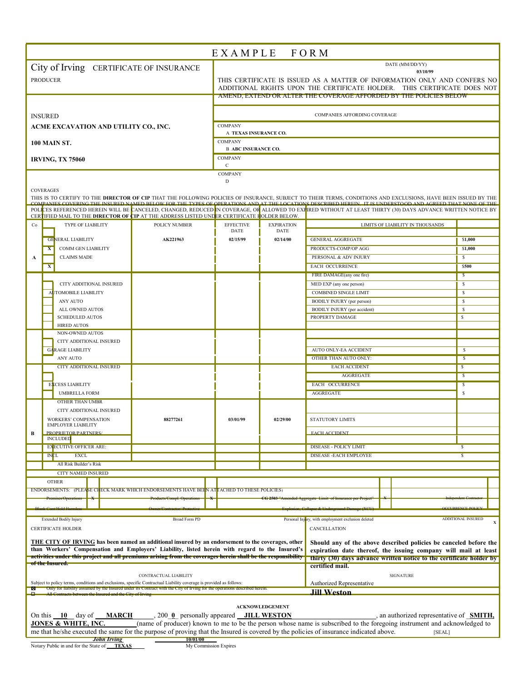| DATE (MM/DD/YY)<br>City of Irving CERTIFICATE OF INSURANCE<br>03/10/99<br><b>PRODUCER</b><br>THIS CERTIFICATE IS ISSUED AS A MATTER OF INFORMATION ONLY AND CONFERS NO<br>ADDITIONAL RIGHTS UPON THE CERTIFICATE HOLDER. THIS CERTIFICATE DOES NOT<br>AMEND, EXTEND OR ALTER THE COVERAGE AFFORDED BY THE POLICIES BELOW<br>COMPANIES AFFORDING COVERAGE<br><b>INSURED</b><br><b>COMPANY</b><br>ACME EXCAVATION AND UTILITY CO., INC.<br>A TEXAS INSURANCE CO.<br><b>COMPANY</b><br><b>100 MAIN ST.</b><br><b>B ABC INSURANCE CO.</b><br><b>COMPANY</b><br><b>IRVING, TX 75060</b><br>$\mathbf{C}$<br>COMPANY<br>D<br><b>COVERAGES</b><br>THIS IS TO CERTIFY TO THE DIRECTOR OF CIP THAT THE FOLLOWING POLICIES OF INSURANCE, SUBJECT TO THEIR TERMS, CONDITIONS AND EXCLUSIONS, HAVE BEEN ISSUED BY THE<br>NIES COVERING THE INSURED NAMED BELOW FOR THE TYPES OF OPERATIONS AND AT THE LOCATIONS DESCRIBED HEREIN. IT IS UNDERSTOOD AND AGREED THAT NONE OF THE<br>POLICES REFERENCED HEREIN WILL BE CANCELED, CHANGED, REDUCED IN COVERAGE, OR ALLOWED TO EXPIRED WITHOUT AT LEAST THIRTY (30) DAYS ADVANCE WRITTEN NOTICE BY<br>CERTIFIED MAIL TO THE DIRECTOR OF CIP AT THE ADDRESS LISTED UNDER CERTIFICATE FOLDER BELOW.<br><b>EFFECTIVE</b><br><b>TYPE OF LIABILITY</b><br>POLICY NUMBER<br><b>EXPIRATION</b><br>Co<br>LIMITS OF LIABILITY IN THOUSANDS<br>DATE<br>DATE<br><b>GENERAL LIABILITY</b><br>AK221963<br>02/14/00<br><b>GENERAL AGGREGATE</b><br>\$1,000<br>02/15/99<br><b>COMM GEN LIABILITY</b><br>PRODUCTS-COMP/OP AGG<br>\$1,000<br>$\mathbf{x}$<br>PERSONAL & ADV INJURY<br><b>CLAIMS MADE</b><br>\$<br>A<br><b>EACH OCCURRENCE</b><br>\$500<br>X<br>FIRE DAMAGE(any one fire)<br>\$.<br>CITY ADDITIONAL INSURED<br>MED EXP (any one person)<br>\$<br>AUTOMOBILE LIABILITY<br><b>COMBINED SINGLE LIMIT</b><br>s<br>$\mathbf{s}$<br><b>BODILY INJURY</b> (per person)<br>ANY AUTO<br>BODILY INJURY (per accident)<br>s<br>ALL OWNED AUTOS<br><b>SCHEDULED AUTOS</b><br>PROPERTY DAMAGE<br>\$<br><b>HIRED AUTOS</b><br>NON-OWNED AUTOS<br>CITY ADDITIONAL INSURED<br><b>GARAGE LIABILITY</b><br>s<br>AUTO ONLY-EA ACCIDENT<br>ANY AUTO<br>OTHER THAN AUTO ONLY:<br>s<br><b>CITY ADDITIONAL INSURED</b><br><b>EACH ACCIDENT</b><br>$\mathbf{s}$<br><b>AGGREGATE</b><br>$\sqrt{S}$<br><b>EACH OCCURRENCE</b><br><b>EXCESS LIABILITY</b><br>s<br>s<br><b>UMBRELLA FORM</b><br>AGGREGATE<br>OTHER THAN UMBR<br>CITY ADDITIONAL INSURED<br><b>WORKERS' COMPENSATION</b><br>03/01/99<br>02/29/00<br><b>STATUTORY LIMITS</b><br>88277261<br><b>EMPLOYER LIABILITY</b><br>PROPRIETOR/PARTNERS/<br>B<br><b>EACH ACCIDENT</b><br><b>INCLUDED</b><br><b>EXECUTIVE OFFICER ARE:</b><br><b>DISEASE - POLICY LIMIT</b><br>s<br><b>INCL</b><br><b>EXCL</b><br>$\overline{\mathsf{s}}$<br>DISEASE - EACH EMPLOYEE<br>All Risk Builder's Risk<br>CITY NAMED INSURED<br><b>OTHER</b><br>ENDORSEMENTS: (PLEASE CHECK MARK WHICH ENDORSEMENTS HAVE BEHN AT <mark>T</mark> ACHED TO THESE POLICIES)<br>Premises/Operations<br>CG 2503 "Amended Aggregate Limit of Insurance per Project<br>Products/Compl. Operation:<br>k Cont/Hold Har<br>ADDITIONAL INSURED<br><b>Extended Bodily Injury</b><br>Broad Form PD<br>Personal Injury, with employment exclusion deleted<br><b>CERTIFICATE HOLDER</b><br><b>CANCELLATION</b><br>THE CITY OF IRVING has been named an additional insured by an endorsement to the coverages, other<br>Should any of the above described policies be canceled before the<br>than Workers' Compensation and Employers' Liability, listed herein with regard to the Insured's<br>expiration date thereof, the issuing company will mail at least<br>activities under this project and all premiums arising from the coverages herein shall be the responsibility<br>thirty (30) days advance written notice to the certificate holder by<br>of the Insured <del>.</del><br>certified mail.<br>CONTRACTUAL LIABILITY<br><b>SIGNATURE</b><br>Subject to policy terms, conditions and exclusions, specific Contractual Liability coverage is provided as follows:<br>Authorized Representative<br>Only for hability assumed by the Insured under its Contract with the City of Irving for the operations described herein.<br>⊠<br><b>Jill Weston</b><br>All Contracts between the Insured and the City of Irving<br>о.<br><b>ACKNOWLEDGEMENT</b><br>On this 10 day of MARCH<br>$, 200$ <b>0</b> personally appeared <b>JILL WESTON</b><br>, an authorized representative of <b>SMITH</b> ,<br>(name of producer) known to me to be the person whose name is subscribed to the foregoing instrument and acknowledged to<br><b>JONES &amp; WHITE, INC.</b><br>me that he/she executed the same for the purpose of proving that the Insured is covered by the policies of insurance indicated above.<br>[SEAL]<br><b>John Irving</b><br>10/01/00<br>Notary Public in and for the State of<br><b>TEXAS</b><br>My Commission Expires |  |  |  | EXAMPLE FORM |  |  |  |  |
|---------------------------------------------------------------------------------------------------------------------------------------------------------------------------------------------------------------------------------------------------------------------------------------------------------------------------------------------------------------------------------------------------------------------------------------------------------------------------------------------------------------------------------------------------------------------------------------------------------------------------------------------------------------------------------------------------------------------------------------------------------------------------------------------------------------------------------------------------------------------------------------------------------------------------------------------------------------------------------------------------------------------------------------------------------------------------------------------------------------------------------------------------------------------------------------------------------------------------------------------------------------------------------------------------------------------------------------------------------------------------------------------------------------------------------------------------------------------------------------------------------------------------------------------------------------------------------------------------------------------------------------------------------------------------------------------------------------------------------------------------------------------------------------------------------------------------------------------------------------------------------------------------------------------------------------------------------------------------------------------------------------------------------------------------------------------------------------------------------------------------------------------------------------------------------------------------------------------------------------------------------------------------------------------------------------------------------------------------------------------------------------------------------------------------------------------------------------------------------------------------------------------------------------------------------------------------------------------------------------------------------------------------------------------------------------------------------------------------------------------------------------------------------------------------------------------------------------------------------------------------------------------------------------------------------------------------------------------------------------------------------------------------------------------------------------------------------------------------------------------------------------------------------------------------------------------------------------------------------------------------------------------------------------------------------------------------------------------------------------------------------------------------------------------------------------------------------------------------------------------------------------------------------------------------------------------------------------------------------------------------------------------------------------------------------------------------------------------------------------------------------------------------------------------------------------------------------------------------------------------------------------------------------------------------------------------------------------------------------------------------------------------------------------------------------------------------------------------------------------------------------------------------------------------------------------------------------------------------------------------------------------------------------------------------------------------------------------------------------------------------------------------------------------------------------------------------------------------------------------------------------------------------------------------------------------------------------------------------------------------------------------------------------------------------------------------------------------------------------------------------------------------------------------------------------------------------------------------------------------------------------------------------------------------------------------------------------|--|--|--|--------------|--|--|--|--|
|                                                                                                                                                                                                                                                                                                                                                                                                                                                                                                                                                                                                                                                                                                                                                                                                                                                                                                                                                                                                                                                                                                                                                                                                                                                                                                                                                                                                                                                                                                                                                                                                                                                                                                                                                                                                                                                                                                                                                                                                                                                                                                                                                                                                                                                                                                                                                                                                                                                                                                                                                                                                                                                                                                                                                                                                                                                                                                                                                                                                                                                                                                                                                                                                                                                                                                                                                                                                                                                                                                                                                                                                                                                                                                                                                                                                                                                                                                                                                                                                                                                                                                                                                                                                                                                                                                                                                                                                                                                                                                                                                                                                                                                                                                                                                                                                                                                                                                                                                         |  |  |  |              |  |  |  |  |
|                                                                                                                                                                                                                                                                                                                                                                                                                                                                                                                                                                                                                                                                                                                                                                                                                                                                                                                                                                                                                                                                                                                                                                                                                                                                                                                                                                                                                                                                                                                                                                                                                                                                                                                                                                                                                                                                                                                                                                                                                                                                                                                                                                                                                                                                                                                                                                                                                                                                                                                                                                                                                                                                                                                                                                                                                                                                                                                                                                                                                                                                                                                                                                                                                                                                                                                                                                                                                                                                                                                                                                                                                                                                                                                                                                                                                                                                                                                                                                                                                                                                                                                                                                                                                                                                                                                                                                                                                                                                                                                                                                                                                                                                                                                                                                                                                                                                                                                                                         |  |  |  |              |  |  |  |  |
|                                                                                                                                                                                                                                                                                                                                                                                                                                                                                                                                                                                                                                                                                                                                                                                                                                                                                                                                                                                                                                                                                                                                                                                                                                                                                                                                                                                                                                                                                                                                                                                                                                                                                                                                                                                                                                                                                                                                                                                                                                                                                                                                                                                                                                                                                                                                                                                                                                                                                                                                                                                                                                                                                                                                                                                                                                                                                                                                                                                                                                                                                                                                                                                                                                                                                                                                                                                                                                                                                                                                                                                                                                                                                                                                                                                                                                                                                                                                                                                                                                                                                                                                                                                                                                                                                                                                                                                                                                                                                                                                                                                                                                                                                                                                                                                                                                                                                                                                                         |  |  |  |              |  |  |  |  |
|                                                                                                                                                                                                                                                                                                                                                                                                                                                                                                                                                                                                                                                                                                                                                                                                                                                                                                                                                                                                                                                                                                                                                                                                                                                                                                                                                                                                                                                                                                                                                                                                                                                                                                                                                                                                                                                                                                                                                                                                                                                                                                                                                                                                                                                                                                                                                                                                                                                                                                                                                                                                                                                                                                                                                                                                                                                                                                                                                                                                                                                                                                                                                                                                                                                                                                                                                                                                                                                                                                                                                                                                                                                                                                                                                                                                                                                                                                                                                                                                                                                                                                                                                                                                                                                                                                                                                                                                                                                                                                                                                                                                                                                                                                                                                                                                                                                                                                                                                         |  |  |  |              |  |  |  |  |
|                                                                                                                                                                                                                                                                                                                                                                                                                                                                                                                                                                                                                                                                                                                                                                                                                                                                                                                                                                                                                                                                                                                                                                                                                                                                                                                                                                                                                                                                                                                                                                                                                                                                                                                                                                                                                                                                                                                                                                                                                                                                                                                                                                                                                                                                                                                                                                                                                                                                                                                                                                                                                                                                                                                                                                                                                                                                                                                                                                                                                                                                                                                                                                                                                                                                                                                                                                                                                                                                                                                                                                                                                                                                                                                                                                                                                                                                                                                                                                                                                                                                                                                                                                                                                                                                                                                                                                                                                                                                                                                                                                                                                                                                                                                                                                                                                                                                                                                                                         |  |  |  |              |  |  |  |  |
|                                                                                                                                                                                                                                                                                                                                                                                                                                                                                                                                                                                                                                                                                                                                                                                                                                                                                                                                                                                                                                                                                                                                                                                                                                                                                                                                                                                                                                                                                                                                                                                                                                                                                                                                                                                                                                                                                                                                                                                                                                                                                                                                                                                                                                                                                                                                                                                                                                                                                                                                                                                                                                                                                                                                                                                                                                                                                                                                                                                                                                                                                                                                                                                                                                                                                                                                                                                                                                                                                                                                                                                                                                                                                                                                                                                                                                                                                                                                                                                                                                                                                                                                                                                                                                                                                                                                                                                                                                                                                                                                                                                                                                                                                                                                                                                                                                                                                                                                                         |  |  |  |              |  |  |  |  |
|                                                                                                                                                                                                                                                                                                                                                                                                                                                                                                                                                                                                                                                                                                                                                                                                                                                                                                                                                                                                                                                                                                                                                                                                                                                                                                                                                                                                                                                                                                                                                                                                                                                                                                                                                                                                                                                                                                                                                                                                                                                                                                                                                                                                                                                                                                                                                                                                                                                                                                                                                                                                                                                                                                                                                                                                                                                                                                                                                                                                                                                                                                                                                                                                                                                                                                                                                                                                                                                                                                                                                                                                                                                                                                                                                                                                                                                                                                                                                                                                                                                                                                                                                                                                                                                                                                                                                                                                                                                                                                                                                                                                                                                                                                                                                                                                                                                                                                                                                         |  |  |  |              |  |  |  |  |
|                                                                                                                                                                                                                                                                                                                                                                                                                                                                                                                                                                                                                                                                                                                                                                                                                                                                                                                                                                                                                                                                                                                                                                                                                                                                                                                                                                                                                                                                                                                                                                                                                                                                                                                                                                                                                                                                                                                                                                                                                                                                                                                                                                                                                                                                                                                                                                                                                                                                                                                                                                                                                                                                                                                                                                                                                                                                                                                                                                                                                                                                                                                                                                                                                                                                                                                                                                                                                                                                                                                                                                                                                                                                                                                                                                                                                                                                                                                                                                                                                                                                                                                                                                                                                                                                                                                                                                                                                                                                                                                                                                                                                                                                                                                                                                                                                                                                                                                                                         |  |  |  |              |  |  |  |  |
|                                                                                                                                                                                                                                                                                                                                                                                                                                                                                                                                                                                                                                                                                                                                                                                                                                                                                                                                                                                                                                                                                                                                                                                                                                                                                                                                                                                                                                                                                                                                                                                                                                                                                                                                                                                                                                                                                                                                                                                                                                                                                                                                                                                                                                                                                                                                                                                                                                                                                                                                                                                                                                                                                                                                                                                                                                                                                                                                                                                                                                                                                                                                                                                                                                                                                                                                                                                                                                                                                                                                                                                                                                                                                                                                                                                                                                                                                                                                                                                                                                                                                                                                                                                                                                                                                                                                                                                                                                                                                                                                                                                                                                                                                                                                                                                                                                                                                                                                                         |  |  |  |              |  |  |  |  |
|                                                                                                                                                                                                                                                                                                                                                                                                                                                                                                                                                                                                                                                                                                                                                                                                                                                                                                                                                                                                                                                                                                                                                                                                                                                                                                                                                                                                                                                                                                                                                                                                                                                                                                                                                                                                                                                                                                                                                                                                                                                                                                                                                                                                                                                                                                                                                                                                                                                                                                                                                                                                                                                                                                                                                                                                                                                                                                                                                                                                                                                                                                                                                                                                                                                                                                                                                                                                                                                                                                                                                                                                                                                                                                                                                                                                                                                                                                                                                                                                                                                                                                                                                                                                                                                                                                                                                                                                                                                                                                                                                                                                                                                                                                                                                                                                                                                                                                                                                         |  |  |  |              |  |  |  |  |
|                                                                                                                                                                                                                                                                                                                                                                                                                                                                                                                                                                                                                                                                                                                                                                                                                                                                                                                                                                                                                                                                                                                                                                                                                                                                                                                                                                                                                                                                                                                                                                                                                                                                                                                                                                                                                                                                                                                                                                                                                                                                                                                                                                                                                                                                                                                                                                                                                                                                                                                                                                                                                                                                                                                                                                                                                                                                                                                                                                                                                                                                                                                                                                                                                                                                                                                                                                                                                                                                                                                                                                                                                                                                                                                                                                                                                                                                                                                                                                                                                                                                                                                                                                                                                                                                                                                                                                                                                                                                                                                                                                                                                                                                                                                                                                                                                                                                                                                                                         |  |  |  |              |  |  |  |  |
|                                                                                                                                                                                                                                                                                                                                                                                                                                                                                                                                                                                                                                                                                                                                                                                                                                                                                                                                                                                                                                                                                                                                                                                                                                                                                                                                                                                                                                                                                                                                                                                                                                                                                                                                                                                                                                                                                                                                                                                                                                                                                                                                                                                                                                                                                                                                                                                                                                                                                                                                                                                                                                                                                                                                                                                                                                                                                                                                                                                                                                                                                                                                                                                                                                                                                                                                                                                                                                                                                                                                                                                                                                                                                                                                                                                                                                                                                                                                                                                                                                                                                                                                                                                                                                                                                                                                                                                                                                                                                                                                                                                                                                                                                                                                                                                                                                                                                                                                                         |  |  |  |              |  |  |  |  |
|                                                                                                                                                                                                                                                                                                                                                                                                                                                                                                                                                                                                                                                                                                                                                                                                                                                                                                                                                                                                                                                                                                                                                                                                                                                                                                                                                                                                                                                                                                                                                                                                                                                                                                                                                                                                                                                                                                                                                                                                                                                                                                                                                                                                                                                                                                                                                                                                                                                                                                                                                                                                                                                                                                                                                                                                                                                                                                                                                                                                                                                                                                                                                                                                                                                                                                                                                                                                                                                                                                                                                                                                                                                                                                                                                                                                                                                                                                                                                                                                                                                                                                                                                                                                                                                                                                                                                                                                                                                                                                                                                                                                                                                                                                                                                                                                                                                                                                                                                         |  |  |  |              |  |  |  |  |
|                                                                                                                                                                                                                                                                                                                                                                                                                                                                                                                                                                                                                                                                                                                                                                                                                                                                                                                                                                                                                                                                                                                                                                                                                                                                                                                                                                                                                                                                                                                                                                                                                                                                                                                                                                                                                                                                                                                                                                                                                                                                                                                                                                                                                                                                                                                                                                                                                                                                                                                                                                                                                                                                                                                                                                                                                                                                                                                                                                                                                                                                                                                                                                                                                                                                                                                                                                                                                                                                                                                                                                                                                                                                                                                                                                                                                                                                                                                                                                                                                                                                                                                                                                                                                                                                                                                                                                                                                                                                                                                                                                                                                                                                                                                                                                                                                                                                                                                                                         |  |  |  |              |  |  |  |  |
|                                                                                                                                                                                                                                                                                                                                                                                                                                                                                                                                                                                                                                                                                                                                                                                                                                                                                                                                                                                                                                                                                                                                                                                                                                                                                                                                                                                                                                                                                                                                                                                                                                                                                                                                                                                                                                                                                                                                                                                                                                                                                                                                                                                                                                                                                                                                                                                                                                                                                                                                                                                                                                                                                                                                                                                                                                                                                                                                                                                                                                                                                                                                                                                                                                                                                                                                                                                                                                                                                                                                                                                                                                                                                                                                                                                                                                                                                                                                                                                                                                                                                                                                                                                                                                                                                                                                                                                                                                                                                                                                                                                                                                                                                                                                                                                                                                                                                                                                                         |  |  |  |              |  |  |  |  |
|                                                                                                                                                                                                                                                                                                                                                                                                                                                                                                                                                                                                                                                                                                                                                                                                                                                                                                                                                                                                                                                                                                                                                                                                                                                                                                                                                                                                                                                                                                                                                                                                                                                                                                                                                                                                                                                                                                                                                                                                                                                                                                                                                                                                                                                                                                                                                                                                                                                                                                                                                                                                                                                                                                                                                                                                                                                                                                                                                                                                                                                                                                                                                                                                                                                                                                                                                                                                                                                                                                                                                                                                                                                                                                                                                                                                                                                                                                                                                                                                                                                                                                                                                                                                                                                                                                                                                                                                                                                                                                                                                                                                                                                                                                                                                                                                                                                                                                                                                         |  |  |  |              |  |  |  |  |
|                                                                                                                                                                                                                                                                                                                                                                                                                                                                                                                                                                                                                                                                                                                                                                                                                                                                                                                                                                                                                                                                                                                                                                                                                                                                                                                                                                                                                                                                                                                                                                                                                                                                                                                                                                                                                                                                                                                                                                                                                                                                                                                                                                                                                                                                                                                                                                                                                                                                                                                                                                                                                                                                                                                                                                                                                                                                                                                                                                                                                                                                                                                                                                                                                                                                                                                                                                                                                                                                                                                                                                                                                                                                                                                                                                                                                                                                                                                                                                                                                                                                                                                                                                                                                                                                                                                                                                                                                                                                                                                                                                                                                                                                                                                                                                                                                                                                                                                                                         |  |  |  |              |  |  |  |  |
|                                                                                                                                                                                                                                                                                                                                                                                                                                                                                                                                                                                                                                                                                                                                                                                                                                                                                                                                                                                                                                                                                                                                                                                                                                                                                                                                                                                                                                                                                                                                                                                                                                                                                                                                                                                                                                                                                                                                                                                                                                                                                                                                                                                                                                                                                                                                                                                                                                                                                                                                                                                                                                                                                                                                                                                                                                                                                                                                                                                                                                                                                                                                                                                                                                                                                                                                                                                                                                                                                                                                                                                                                                                                                                                                                                                                                                                                                                                                                                                                                                                                                                                                                                                                                                                                                                                                                                                                                                                                                                                                                                                                                                                                                                                                                                                                                                                                                                                                                         |  |  |  |              |  |  |  |  |
|                                                                                                                                                                                                                                                                                                                                                                                                                                                                                                                                                                                                                                                                                                                                                                                                                                                                                                                                                                                                                                                                                                                                                                                                                                                                                                                                                                                                                                                                                                                                                                                                                                                                                                                                                                                                                                                                                                                                                                                                                                                                                                                                                                                                                                                                                                                                                                                                                                                                                                                                                                                                                                                                                                                                                                                                                                                                                                                                                                                                                                                                                                                                                                                                                                                                                                                                                                                                                                                                                                                                                                                                                                                                                                                                                                                                                                                                                                                                                                                                                                                                                                                                                                                                                                                                                                                                                                                                                                                                                                                                                                                                                                                                                                                                                                                                                                                                                                                                                         |  |  |  |              |  |  |  |  |
|                                                                                                                                                                                                                                                                                                                                                                                                                                                                                                                                                                                                                                                                                                                                                                                                                                                                                                                                                                                                                                                                                                                                                                                                                                                                                                                                                                                                                                                                                                                                                                                                                                                                                                                                                                                                                                                                                                                                                                                                                                                                                                                                                                                                                                                                                                                                                                                                                                                                                                                                                                                                                                                                                                                                                                                                                                                                                                                                                                                                                                                                                                                                                                                                                                                                                                                                                                                                                                                                                                                                                                                                                                                                                                                                                                                                                                                                                                                                                                                                                                                                                                                                                                                                                                                                                                                                                                                                                                                                                                                                                                                                                                                                                                                                                                                                                                                                                                                                                         |  |  |  |              |  |  |  |  |
|                                                                                                                                                                                                                                                                                                                                                                                                                                                                                                                                                                                                                                                                                                                                                                                                                                                                                                                                                                                                                                                                                                                                                                                                                                                                                                                                                                                                                                                                                                                                                                                                                                                                                                                                                                                                                                                                                                                                                                                                                                                                                                                                                                                                                                                                                                                                                                                                                                                                                                                                                                                                                                                                                                                                                                                                                                                                                                                                                                                                                                                                                                                                                                                                                                                                                                                                                                                                                                                                                                                                                                                                                                                                                                                                                                                                                                                                                                                                                                                                                                                                                                                                                                                                                                                                                                                                                                                                                                                                                                                                                                                                                                                                                                                                                                                                                                                                                                                                                         |  |  |  |              |  |  |  |  |
|                                                                                                                                                                                                                                                                                                                                                                                                                                                                                                                                                                                                                                                                                                                                                                                                                                                                                                                                                                                                                                                                                                                                                                                                                                                                                                                                                                                                                                                                                                                                                                                                                                                                                                                                                                                                                                                                                                                                                                                                                                                                                                                                                                                                                                                                                                                                                                                                                                                                                                                                                                                                                                                                                                                                                                                                                                                                                                                                                                                                                                                                                                                                                                                                                                                                                                                                                                                                                                                                                                                                                                                                                                                                                                                                                                                                                                                                                                                                                                                                                                                                                                                                                                                                                                                                                                                                                                                                                                                                                                                                                                                                                                                                                                                                                                                                                                                                                                                                                         |  |  |  |              |  |  |  |  |
|                                                                                                                                                                                                                                                                                                                                                                                                                                                                                                                                                                                                                                                                                                                                                                                                                                                                                                                                                                                                                                                                                                                                                                                                                                                                                                                                                                                                                                                                                                                                                                                                                                                                                                                                                                                                                                                                                                                                                                                                                                                                                                                                                                                                                                                                                                                                                                                                                                                                                                                                                                                                                                                                                                                                                                                                                                                                                                                                                                                                                                                                                                                                                                                                                                                                                                                                                                                                                                                                                                                                                                                                                                                                                                                                                                                                                                                                                                                                                                                                                                                                                                                                                                                                                                                                                                                                                                                                                                                                                                                                                                                                                                                                                                                                                                                                                                                                                                                                                         |  |  |  |              |  |  |  |  |
|                                                                                                                                                                                                                                                                                                                                                                                                                                                                                                                                                                                                                                                                                                                                                                                                                                                                                                                                                                                                                                                                                                                                                                                                                                                                                                                                                                                                                                                                                                                                                                                                                                                                                                                                                                                                                                                                                                                                                                                                                                                                                                                                                                                                                                                                                                                                                                                                                                                                                                                                                                                                                                                                                                                                                                                                                                                                                                                                                                                                                                                                                                                                                                                                                                                                                                                                                                                                                                                                                                                                                                                                                                                                                                                                                                                                                                                                                                                                                                                                                                                                                                                                                                                                                                                                                                                                                                                                                                                                                                                                                                                                                                                                                                                                                                                                                                                                                                                                                         |  |  |  |              |  |  |  |  |
|                                                                                                                                                                                                                                                                                                                                                                                                                                                                                                                                                                                                                                                                                                                                                                                                                                                                                                                                                                                                                                                                                                                                                                                                                                                                                                                                                                                                                                                                                                                                                                                                                                                                                                                                                                                                                                                                                                                                                                                                                                                                                                                                                                                                                                                                                                                                                                                                                                                                                                                                                                                                                                                                                                                                                                                                                                                                                                                                                                                                                                                                                                                                                                                                                                                                                                                                                                                                                                                                                                                                                                                                                                                                                                                                                                                                                                                                                                                                                                                                                                                                                                                                                                                                                                                                                                                                                                                                                                                                                                                                                                                                                                                                                                                                                                                                                                                                                                                                                         |  |  |  |              |  |  |  |  |
|                                                                                                                                                                                                                                                                                                                                                                                                                                                                                                                                                                                                                                                                                                                                                                                                                                                                                                                                                                                                                                                                                                                                                                                                                                                                                                                                                                                                                                                                                                                                                                                                                                                                                                                                                                                                                                                                                                                                                                                                                                                                                                                                                                                                                                                                                                                                                                                                                                                                                                                                                                                                                                                                                                                                                                                                                                                                                                                                                                                                                                                                                                                                                                                                                                                                                                                                                                                                                                                                                                                                                                                                                                                                                                                                                                                                                                                                                                                                                                                                                                                                                                                                                                                                                                                                                                                                                                                                                                                                                                                                                                                                                                                                                                                                                                                                                                                                                                                                                         |  |  |  |              |  |  |  |  |
|                                                                                                                                                                                                                                                                                                                                                                                                                                                                                                                                                                                                                                                                                                                                                                                                                                                                                                                                                                                                                                                                                                                                                                                                                                                                                                                                                                                                                                                                                                                                                                                                                                                                                                                                                                                                                                                                                                                                                                                                                                                                                                                                                                                                                                                                                                                                                                                                                                                                                                                                                                                                                                                                                                                                                                                                                                                                                                                                                                                                                                                                                                                                                                                                                                                                                                                                                                                                                                                                                                                                                                                                                                                                                                                                                                                                                                                                                                                                                                                                                                                                                                                                                                                                                                                                                                                                                                                                                                                                                                                                                                                                                                                                                                                                                                                                                                                                                                                                                         |  |  |  |              |  |  |  |  |
|                                                                                                                                                                                                                                                                                                                                                                                                                                                                                                                                                                                                                                                                                                                                                                                                                                                                                                                                                                                                                                                                                                                                                                                                                                                                                                                                                                                                                                                                                                                                                                                                                                                                                                                                                                                                                                                                                                                                                                                                                                                                                                                                                                                                                                                                                                                                                                                                                                                                                                                                                                                                                                                                                                                                                                                                                                                                                                                                                                                                                                                                                                                                                                                                                                                                                                                                                                                                                                                                                                                                                                                                                                                                                                                                                                                                                                                                                                                                                                                                                                                                                                                                                                                                                                                                                                                                                                                                                                                                                                                                                                                                                                                                                                                                                                                                                                                                                                                                                         |  |  |  |              |  |  |  |  |
|                                                                                                                                                                                                                                                                                                                                                                                                                                                                                                                                                                                                                                                                                                                                                                                                                                                                                                                                                                                                                                                                                                                                                                                                                                                                                                                                                                                                                                                                                                                                                                                                                                                                                                                                                                                                                                                                                                                                                                                                                                                                                                                                                                                                                                                                                                                                                                                                                                                                                                                                                                                                                                                                                                                                                                                                                                                                                                                                                                                                                                                                                                                                                                                                                                                                                                                                                                                                                                                                                                                                                                                                                                                                                                                                                                                                                                                                                                                                                                                                                                                                                                                                                                                                                                                                                                                                                                                                                                                                                                                                                                                                                                                                                                                                                                                                                                                                                                                                                         |  |  |  |              |  |  |  |  |
|                                                                                                                                                                                                                                                                                                                                                                                                                                                                                                                                                                                                                                                                                                                                                                                                                                                                                                                                                                                                                                                                                                                                                                                                                                                                                                                                                                                                                                                                                                                                                                                                                                                                                                                                                                                                                                                                                                                                                                                                                                                                                                                                                                                                                                                                                                                                                                                                                                                                                                                                                                                                                                                                                                                                                                                                                                                                                                                                                                                                                                                                                                                                                                                                                                                                                                                                                                                                                                                                                                                                                                                                                                                                                                                                                                                                                                                                                                                                                                                                                                                                                                                                                                                                                                                                                                                                                                                                                                                                                                                                                                                                                                                                                                                                                                                                                                                                                                                                                         |  |  |  |              |  |  |  |  |
|                                                                                                                                                                                                                                                                                                                                                                                                                                                                                                                                                                                                                                                                                                                                                                                                                                                                                                                                                                                                                                                                                                                                                                                                                                                                                                                                                                                                                                                                                                                                                                                                                                                                                                                                                                                                                                                                                                                                                                                                                                                                                                                                                                                                                                                                                                                                                                                                                                                                                                                                                                                                                                                                                                                                                                                                                                                                                                                                                                                                                                                                                                                                                                                                                                                                                                                                                                                                                                                                                                                                                                                                                                                                                                                                                                                                                                                                                                                                                                                                                                                                                                                                                                                                                                                                                                                                                                                                                                                                                                                                                                                                                                                                                                                                                                                                                                                                                                                                                         |  |  |  |              |  |  |  |  |
|                                                                                                                                                                                                                                                                                                                                                                                                                                                                                                                                                                                                                                                                                                                                                                                                                                                                                                                                                                                                                                                                                                                                                                                                                                                                                                                                                                                                                                                                                                                                                                                                                                                                                                                                                                                                                                                                                                                                                                                                                                                                                                                                                                                                                                                                                                                                                                                                                                                                                                                                                                                                                                                                                                                                                                                                                                                                                                                                                                                                                                                                                                                                                                                                                                                                                                                                                                                                                                                                                                                                                                                                                                                                                                                                                                                                                                                                                                                                                                                                                                                                                                                                                                                                                                                                                                                                                                                                                                                                                                                                                                                                                                                                                                                                                                                                                                                                                                                                                         |  |  |  |              |  |  |  |  |
|                                                                                                                                                                                                                                                                                                                                                                                                                                                                                                                                                                                                                                                                                                                                                                                                                                                                                                                                                                                                                                                                                                                                                                                                                                                                                                                                                                                                                                                                                                                                                                                                                                                                                                                                                                                                                                                                                                                                                                                                                                                                                                                                                                                                                                                                                                                                                                                                                                                                                                                                                                                                                                                                                                                                                                                                                                                                                                                                                                                                                                                                                                                                                                                                                                                                                                                                                                                                                                                                                                                                                                                                                                                                                                                                                                                                                                                                                                                                                                                                                                                                                                                                                                                                                                                                                                                                                                                                                                                                                                                                                                                                                                                                                                                                                                                                                                                                                                                                                         |  |  |  |              |  |  |  |  |
|                                                                                                                                                                                                                                                                                                                                                                                                                                                                                                                                                                                                                                                                                                                                                                                                                                                                                                                                                                                                                                                                                                                                                                                                                                                                                                                                                                                                                                                                                                                                                                                                                                                                                                                                                                                                                                                                                                                                                                                                                                                                                                                                                                                                                                                                                                                                                                                                                                                                                                                                                                                                                                                                                                                                                                                                                                                                                                                                                                                                                                                                                                                                                                                                                                                                                                                                                                                                                                                                                                                                                                                                                                                                                                                                                                                                                                                                                                                                                                                                                                                                                                                                                                                                                                                                                                                                                                                                                                                                                                                                                                                                                                                                                                                                                                                                                                                                                                                                                         |  |  |  |              |  |  |  |  |
|                                                                                                                                                                                                                                                                                                                                                                                                                                                                                                                                                                                                                                                                                                                                                                                                                                                                                                                                                                                                                                                                                                                                                                                                                                                                                                                                                                                                                                                                                                                                                                                                                                                                                                                                                                                                                                                                                                                                                                                                                                                                                                                                                                                                                                                                                                                                                                                                                                                                                                                                                                                                                                                                                                                                                                                                                                                                                                                                                                                                                                                                                                                                                                                                                                                                                                                                                                                                                                                                                                                                                                                                                                                                                                                                                                                                                                                                                                                                                                                                                                                                                                                                                                                                                                                                                                                                                                                                                                                                                                                                                                                                                                                                                                                                                                                                                                                                                                                                                         |  |  |  |              |  |  |  |  |
|                                                                                                                                                                                                                                                                                                                                                                                                                                                                                                                                                                                                                                                                                                                                                                                                                                                                                                                                                                                                                                                                                                                                                                                                                                                                                                                                                                                                                                                                                                                                                                                                                                                                                                                                                                                                                                                                                                                                                                                                                                                                                                                                                                                                                                                                                                                                                                                                                                                                                                                                                                                                                                                                                                                                                                                                                                                                                                                                                                                                                                                                                                                                                                                                                                                                                                                                                                                                                                                                                                                                                                                                                                                                                                                                                                                                                                                                                                                                                                                                                                                                                                                                                                                                                                                                                                                                                                                                                                                                                                                                                                                                                                                                                                                                                                                                                                                                                                                                                         |  |  |  |              |  |  |  |  |
|                                                                                                                                                                                                                                                                                                                                                                                                                                                                                                                                                                                                                                                                                                                                                                                                                                                                                                                                                                                                                                                                                                                                                                                                                                                                                                                                                                                                                                                                                                                                                                                                                                                                                                                                                                                                                                                                                                                                                                                                                                                                                                                                                                                                                                                                                                                                                                                                                                                                                                                                                                                                                                                                                                                                                                                                                                                                                                                                                                                                                                                                                                                                                                                                                                                                                                                                                                                                                                                                                                                                                                                                                                                                                                                                                                                                                                                                                                                                                                                                                                                                                                                                                                                                                                                                                                                                                                                                                                                                                                                                                                                                                                                                                                                                                                                                                                                                                                                                                         |  |  |  |              |  |  |  |  |
|                                                                                                                                                                                                                                                                                                                                                                                                                                                                                                                                                                                                                                                                                                                                                                                                                                                                                                                                                                                                                                                                                                                                                                                                                                                                                                                                                                                                                                                                                                                                                                                                                                                                                                                                                                                                                                                                                                                                                                                                                                                                                                                                                                                                                                                                                                                                                                                                                                                                                                                                                                                                                                                                                                                                                                                                                                                                                                                                                                                                                                                                                                                                                                                                                                                                                                                                                                                                                                                                                                                                                                                                                                                                                                                                                                                                                                                                                                                                                                                                                                                                                                                                                                                                                                                                                                                                                                                                                                                                                                                                                                                                                                                                                                                                                                                                                                                                                                                                                         |  |  |  |              |  |  |  |  |
|                                                                                                                                                                                                                                                                                                                                                                                                                                                                                                                                                                                                                                                                                                                                                                                                                                                                                                                                                                                                                                                                                                                                                                                                                                                                                                                                                                                                                                                                                                                                                                                                                                                                                                                                                                                                                                                                                                                                                                                                                                                                                                                                                                                                                                                                                                                                                                                                                                                                                                                                                                                                                                                                                                                                                                                                                                                                                                                                                                                                                                                                                                                                                                                                                                                                                                                                                                                                                                                                                                                                                                                                                                                                                                                                                                                                                                                                                                                                                                                                                                                                                                                                                                                                                                                                                                                                                                                                                                                                                                                                                                                                                                                                                                                                                                                                                                                                                                                                                         |  |  |  |              |  |  |  |  |
|                                                                                                                                                                                                                                                                                                                                                                                                                                                                                                                                                                                                                                                                                                                                                                                                                                                                                                                                                                                                                                                                                                                                                                                                                                                                                                                                                                                                                                                                                                                                                                                                                                                                                                                                                                                                                                                                                                                                                                                                                                                                                                                                                                                                                                                                                                                                                                                                                                                                                                                                                                                                                                                                                                                                                                                                                                                                                                                                                                                                                                                                                                                                                                                                                                                                                                                                                                                                                                                                                                                                                                                                                                                                                                                                                                                                                                                                                                                                                                                                                                                                                                                                                                                                                                                                                                                                                                                                                                                                                                                                                                                                                                                                                                                                                                                                                                                                                                                                                         |  |  |  |              |  |  |  |  |
|                                                                                                                                                                                                                                                                                                                                                                                                                                                                                                                                                                                                                                                                                                                                                                                                                                                                                                                                                                                                                                                                                                                                                                                                                                                                                                                                                                                                                                                                                                                                                                                                                                                                                                                                                                                                                                                                                                                                                                                                                                                                                                                                                                                                                                                                                                                                                                                                                                                                                                                                                                                                                                                                                                                                                                                                                                                                                                                                                                                                                                                                                                                                                                                                                                                                                                                                                                                                                                                                                                                                                                                                                                                                                                                                                                                                                                                                                                                                                                                                                                                                                                                                                                                                                                                                                                                                                                                                                                                                                                                                                                                                                                                                                                                                                                                                                                                                                                                                                         |  |  |  |              |  |  |  |  |
|                                                                                                                                                                                                                                                                                                                                                                                                                                                                                                                                                                                                                                                                                                                                                                                                                                                                                                                                                                                                                                                                                                                                                                                                                                                                                                                                                                                                                                                                                                                                                                                                                                                                                                                                                                                                                                                                                                                                                                                                                                                                                                                                                                                                                                                                                                                                                                                                                                                                                                                                                                                                                                                                                                                                                                                                                                                                                                                                                                                                                                                                                                                                                                                                                                                                                                                                                                                                                                                                                                                                                                                                                                                                                                                                                                                                                                                                                                                                                                                                                                                                                                                                                                                                                                                                                                                                                                                                                                                                                                                                                                                                                                                                                                                                                                                                                                                                                                                                                         |  |  |  |              |  |  |  |  |
|                                                                                                                                                                                                                                                                                                                                                                                                                                                                                                                                                                                                                                                                                                                                                                                                                                                                                                                                                                                                                                                                                                                                                                                                                                                                                                                                                                                                                                                                                                                                                                                                                                                                                                                                                                                                                                                                                                                                                                                                                                                                                                                                                                                                                                                                                                                                                                                                                                                                                                                                                                                                                                                                                                                                                                                                                                                                                                                                                                                                                                                                                                                                                                                                                                                                                                                                                                                                                                                                                                                                                                                                                                                                                                                                                                                                                                                                                                                                                                                                                                                                                                                                                                                                                                                                                                                                                                                                                                                                                                                                                                                                                                                                                                                                                                                                                                                                                                                                                         |  |  |  |              |  |  |  |  |
|                                                                                                                                                                                                                                                                                                                                                                                                                                                                                                                                                                                                                                                                                                                                                                                                                                                                                                                                                                                                                                                                                                                                                                                                                                                                                                                                                                                                                                                                                                                                                                                                                                                                                                                                                                                                                                                                                                                                                                                                                                                                                                                                                                                                                                                                                                                                                                                                                                                                                                                                                                                                                                                                                                                                                                                                                                                                                                                                                                                                                                                                                                                                                                                                                                                                                                                                                                                                                                                                                                                                                                                                                                                                                                                                                                                                                                                                                                                                                                                                                                                                                                                                                                                                                                                                                                                                                                                                                                                                                                                                                                                                                                                                                                                                                                                                                                                                                                                                                         |  |  |  |              |  |  |  |  |
|                                                                                                                                                                                                                                                                                                                                                                                                                                                                                                                                                                                                                                                                                                                                                                                                                                                                                                                                                                                                                                                                                                                                                                                                                                                                                                                                                                                                                                                                                                                                                                                                                                                                                                                                                                                                                                                                                                                                                                                                                                                                                                                                                                                                                                                                                                                                                                                                                                                                                                                                                                                                                                                                                                                                                                                                                                                                                                                                                                                                                                                                                                                                                                                                                                                                                                                                                                                                                                                                                                                                                                                                                                                                                                                                                                                                                                                                                                                                                                                                                                                                                                                                                                                                                                                                                                                                                                                                                                                                                                                                                                                                                                                                                                                                                                                                                                                                                                                                                         |  |  |  |              |  |  |  |  |
|                                                                                                                                                                                                                                                                                                                                                                                                                                                                                                                                                                                                                                                                                                                                                                                                                                                                                                                                                                                                                                                                                                                                                                                                                                                                                                                                                                                                                                                                                                                                                                                                                                                                                                                                                                                                                                                                                                                                                                                                                                                                                                                                                                                                                                                                                                                                                                                                                                                                                                                                                                                                                                                                                                                                                                                                                                                                                                                                                                                                                                                                                                                                                                                                                                                                                                                                                                                                                                                                                                                                                                                                                                                                                                                                                                                                                                                                                                                                                                                                                                                                                                                                                                                                                                                                                                                                                                                                                                                                                                                                                                                                                                                                                                                                                                                                                                                                                                                                                         |  |  |  |              |  |  |  |  |
|                                                                                                                                                                                                                                                                                                                                                                                                                                                                                                                                                                                                                                                                                                                                                                                                                                                                                                                                                                                                                                                                                                                                                                                                                                                                                                                                                                                                                                                                                                                                                                                                                                                                                                                                                                                                                                                                                                                                                                                                                                                                                                                                                                                                                                                                                                                                                                                                                                                                                                                                                                                                                                                                                                                                                                                                                                                                                                                                                                                                                                                                                                                                                                                                                                                                                                                                                                                                                                                                                                                                                                                                                                                                                                                                                                                                                                                                                                                                                                                                                                                                                                                                                                                                                                                                                                                                                                                                                                                                                                                                                                                                                                                                                                                                                                                                                                                                                                                                                         |  |  |  |              |  |  |  |  |
|                                                                                                                                                                                                                                                                                                                                                                                                                                                                                                                                                                                                                                                                                                                                                                                                                                                                                                                                                                                                                                                                                                                                                                                                                                                                                                                                                                                                                                                                                                                                                                                                                                                                                                                                                                                                                                                                                                                                                                                                                                                                                                                                                                                                                                                                                                                                                                                                                                                                                                                                                                                                                                                                                                                                                                                                                                                                                                                                                                                                                                                                                                                                                                                                                                                                                                                                                                                                                                                                                                                                                                                                                                                                                                                                                                                                                                                                                                                                                                                                                                                                                                                                                                                                                                                                                                                                                                                                                                                                                                                                                                                                                                                                                                                                                                                                                                                                                                                                                         |  |  |  |              |  |  |  |  |
|                                                                                                                                                                                                                                                                                                                                                                                                                                                                                                                                                                                                                                                                                                                                                                                                                                                                                                                                                                                                                                                                                                                                                                                                                                                                                                                                                                                                                                                                                                                                                                                                                                                                                                                                                                                                                                                                                                                                                                                                                                                                                                                                                                                                                                                                                                                                                                                                                                                                                                                                                                                                                                                                                                                                                                                                                                                                                                                                                                                                                                                                                                                                                                                                                                                                                                                                                                                                                                                                                                                                                                                                                                                                                                                                                                                                                                                                                                                                                                                                                                                                                                                                                                                                                                                                                                                                                                                                                                                                                                                                                                                                                                                                                                                                                                                                                                                                                                                                                         |  |  |  |              |  |  |  |  |
|                                                                                                                                                                                                                                                                                                                                                                                                                                                                                                                                                                                                                                                                                                                                                                                                                                                                                                                                                                                                                                                                                                                                                                                                                                                                                                                                                                                                                                                                                                                                                                                                                                                                                                                                                                                                                                                                                                                                                                                                                                                                                                                                                                                                                                                                                                                                                                                                                                                                                                                                                                                                                                                                                                                                                                                                                                                                                                                                                                                                                                                                                                                                                                                                                                                                                                                                                                                                                                                                                                                                                                                                                                                                                                                                                                                                                                                                                                                                                                                                                                                                                                                                                                                                                                                                                                                                                                                                                                                                                                                                                                                                                                                                                                                                                                                                                                                                                                                                                         |  |  |  |              |  |  |  |  |
|                                                                                                                                                                                                                                                                                                                                                                                                                                                                                                                                                                                                                                                                                                                                                                                                                                                                                                                                                                                                                                                                                                                                                                                                                                                                                                                                                                                                                                                                                                                                                                                                                                                                                                                                                                                                                                                                                                                                                                                                                                                                                                                                                                                                                                                                                                                                                                                                                                                                                                                                                                                                                                                                                                                                                                                                                                                                                                                                                                                                                                                                                                                                                                                                                                                                                                                                                                                                                                                                                                                                                                                                                                                                                                                                                                                                                                                                                                                                                                                                                                                                                                                                                                                                                                                                                                                                                                                                                                                                                                                                                                                                                                                                                                                                                                                                                                                                                                                                                         |  |  |  |              |  |  |  |  |
|                                                                                                                                                                                                                                                                                                                                                                                                                                                                                                                                                                                                                                                                                                                                                                                                                                                                                                                                                                                                                                                                                                                                                                                                                                                                                                                                                                                                                                                                                                                                                                                                                                                                                                                                                                                                                                                                                                                                                                                                                                                                                                                                                                                                                                                                                                                                                                                                                                                                                                                                                                                                                                                                                                                                                                                                                                                                                                                                                                                                                                                                                                                                                                                                                                                                                                                                                                                                                                                                                                                                                                                                                                                                                                                                                                                                                                                                                                                                                                                                                                                                                                                                                                                                                                                                                                                                                                                                                                                                                                                                                                                                                                                                                                                                                                                                                                                                                                                                                         |  |  |  |              |  |  |  |  |
|                                                                                                                                                                                                                                                                                                                                                                                                                                                                                                                                                                                                                                                                                                                                                                                                                                                                                                                                                                                                                                                                                                                                                                                                                                                                                                                                                                                                                                                                                                                                                                                                                                                                                                                                                                                                                                                                                                                                                                                                                                                                                                                                                                                                                                                                                                                                                                                                                                                                                                                                                                                                                                                                                                                                                                                                                                                                                                                                                                                                                                                                                                                                                                                                                                                                                                                                                                                                                                                                                                                                                                                                                                                                                                                                                                                                                                                                                                                                                                                                                                                                                                                                                                                                                                                                                                                                                                                                                                                                                                                                                                                                                                                                                                                                                                                                                                                                                                                                                         |  |  |  |              |  |  |  |  |
|                                                                                                                                                                                                                                                                                                                                                                                                                                                                                                                                                                                                                                                                                                                                                                                                                                                                                                                                                                                                                                                                                                                                                                                                                                                                                                                                                                                                                                                                                                                                                                                                                                                                                                                                                                                                                                                                                                                                                                                                                                                                                                                                                                                                                                                                                                                                                                                                                                                                                                                                                                                                                                                                                                                                                                                                                                                                                                                                                                                                                                                                                                                                                                                                                                                                                                                                                                                                                                                                                                                                                                                                                                                                                                                                                                                                                                                                                                                                                                                                                                                                                                                                                                                                                                                                                                                                                                                                                                                                                                                                                                                                                                                                                                                                                                                                                                                                                                                                                         |  |  |  |              |  |  |  |  |
|                                                                                                                                                                                                                                                                                                                                                                                                                                                                                                                                                                                                                                                                                                                                                                                                                                                                                                                                                                                                                                                                                                                                                                                                                                                                                                                                                                                                                                                                                                                                                                                                                                                                                                                                                                                                                                                                                                                                                                                                                                                                                                                                                                                                                                                                                                                                                                                                                                                                                                                                                                                                                                                                                                                                                                                                                                                                                                                                                                                                                                                                                                                                                                                                                                                                                                                                                                                                                                                                                                                                                                                                                                                                                                                                                                                                                                                                                                                                                                                                                                                                                                                                                                                                                                                                                                                                                                                                                                                                                                                                                                                                                                                                                                                                                                                                                                                                                                                                                         |  |  |  |              |  |  |  |  |
|                                                                                                                                                                                                                                                                                                                                                                                                                                                                                                                                                                                                                                                                                                                                                                                                                                                                                                                                                                                                                                                                                                                                                                                                                                                                                                                                                                                                                                                                                                                                                                                                                                                                                                                                                                                                                                                                                                                                                                                                                                                                                                                                                                                                                                                                                                                                                                                                                                                                                                                                                                                                                                                                                                                                                                                                                                                                                                                                                                                                                                                                                                                                                                                                                                                                                                                                                                                                                                                                                                                                                                                                                                                                                                                                                                                                                                                                                                                                                                                                                                                                                                                                                                                                                                                                                                                                                                                                                                                                                                                                                                                                                                                                                                                                                                                                                                                                                                                                                         |  |  |  |              |  |  |  |  |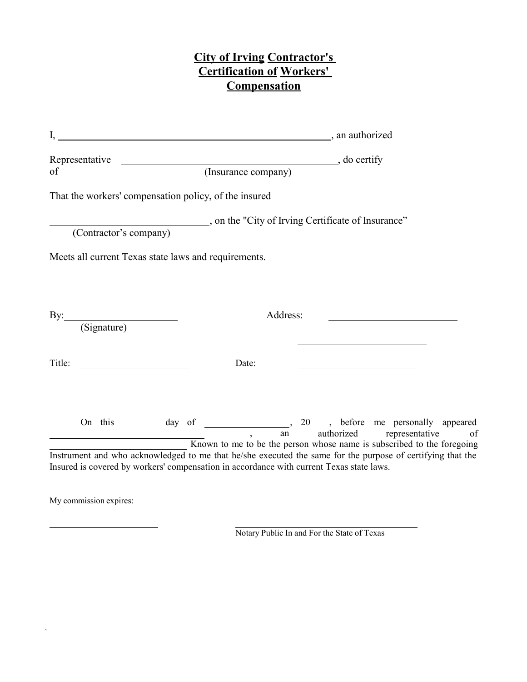## **City of Irving Contractor's Certification of Workers' Compensation**

|        | Representative |                        |  |                     | $\overline{\phantom{a}}$ , do certify                                                                                                                                                                  |          |  |                           |  |  |    |  |  |
|--------|----------------|------------------------|--|---------------------|--------------------------------------------------------------------------------------------------------------------------------------------------------------------------------------------------------|----------|--|---------------------------|--|--|----|--|--|
| of     |                |                        |  | (Insurance company) |                                                                                                                                                                                                        |          |  |                           |  |  |    |  |  |
|        |                |                        |  |                     | That the workers' compensation policy, of the insured                                                                                                                                                  |          |  |                           |  |  |    |  |  |
|        |                | (Contractor's company) |  |                     | , on the "City of Irving Certificate of Insurance"                                                                                                                                                     |          |  |                           |  |  |    |  |  |
|        |                |                        |  |                     | Meets all current Texas state laws and requirements.                                                                                                                                                   |          |  |                           |  |  |    |  |  |
|        |                |                        |  |                     |                                                                                                                                                                                                        |          |  |                           |  |  |    |  |  |
|        |                | By: (Signature)        |  |                     |                                                                                                                                                                                                        | Address: |  |                           |  |  |    |  |  |
| Title: |                |                        |  |                     | Date:                                                                                                                                                                                                  |          |  |                           |  |  |    |  |  |
|        | On this        |                        |  |                     | Known to me to be the person whose name is subscribed to the foregoing                                                                                                                                 | an       |  | authorized representative |  |  | of |  |  |
|        |                |                        |  |                     | Instrument and who acknowledged to me that he/she executed the same for the purpose of certifying that the<br>Insured is covered by workers' compensation in accordance with current Texas state laws. |          |  |                           |  |  |    |  |  |

My commission expires:

 $\ddot{\phantom{0}}$ 

Notary Public In and For the State of Texas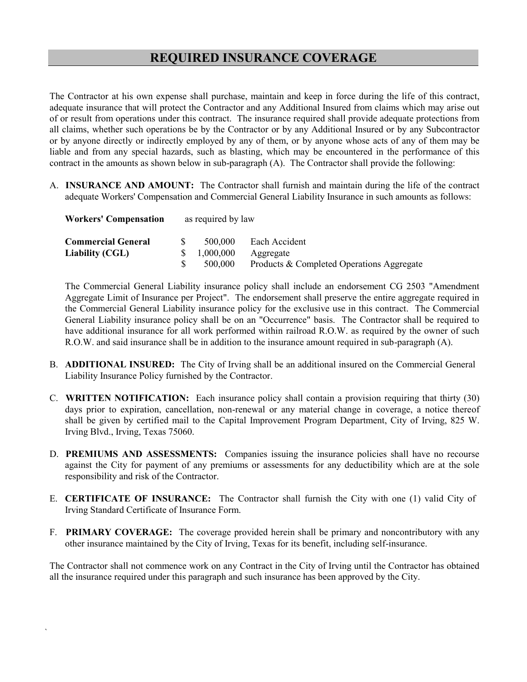The Contractor at his own expense shall purchase, maintain and keep in force during the life of this contract, adequate insurance that will protect the Contractor and any Additional Insured from claims which may arise out of or result from operations under this contract. The insurance required shall provide adequate protections from all claims, whether such operations be by the Contractor or by any Additional Insured or by any Subcontractor or by anyone directly or indirectly employed by any of them, or by anyone whose acts of any of them may be liable and from any special hazards, such as blasting, which may be encountered in the performance of this contract in the amounts as shown below in sub-paragraph (A). The Contractor shall provide the following:

A. **INSURANCE AND AMOUNT:** The Contractor shall furnish and maintain during the life of the contract adequate Workers' Compensation and Commercial General Liability Insurance in such amounts as follows:

| <b>Workers' Compensation</b> | as required by law |           |                                           |  |  |  |
|------------------------------|--------------------|-----------|-------------------------------------------|--|--|--|
| <b>Commercial General</b>    |                    | 500,000   | Each Accident                             |  |  |  |
| Liability (CGL)              |                    | 1,000,000 | Aggregate                                 |  |  |  |
|                              |                    | 500,000   | Products & Completed Operations Aggregate |  |  |  |

The Commercial General Liability insurance policy shall include an endorsement CG 2503 "Amendment Aggregate Limit of Insurance per Project". The endorsement shall preserve the entire aggregate required in the Commercial General Liability insurance policy for the exclusive use in this contract. The Commercial General Liability insurance policy shall be on an "Occurrence" basis. The Contractor shall be required to have additional insurance for all work performed within railroad R.O.W. as required by the owner of such R.O.W. and said insurance shall be in addition to the insurance amount required in sub-paragraph (A).

- B. **ADDITIONAL INSURED:** The City of Irving shall be an additional insured on the Commercial General Liability Insurance Policy furnished by the Contractor.
- C. **WRITTEN NOTIFICATION:** Each insurance policy shall contain a provision requiring that thirty (30) days prior to expiration, cancellation, non-renewal or any material change in coverage, a notice thereof shall be given by certified mail to the Capital Improvement Program Department, City of Irving, 825 W. Irving Blvd., Irving, Texas 75060.
- D. **PREMIUMS AND ASSESSMENTS:** Companies issuing the insurance policies shall have no recourse against the City for payment of any premiums or assessments for any deductibility which are at the sole responsibility and risk of the Contractor.
- E. **CERTIFICATE OF INSURANCE:** The Contractor shall furnish the City with one (1) valid City of Irving Standard Certificate of Insurance Form.
- F. **PRIMARY COVERAGE:** The coverage provided herein shall be primary and noncontributory with any other insurance maintained by the City of Irving, Texas for its benefit, including self-insurance.

The Contractor shall not commence work on any Contract in the City of Irving until the Contractor has obtained all the insurance required under this paragraph and such insurance has been approved by the City.

`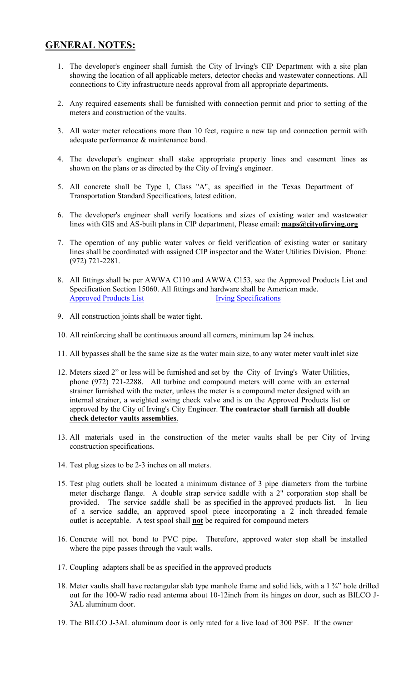## **GENERAL NOTES:**

- 1. The developer's engineer shall furnish the City of Irving's CIP Department with a site plan showing the location of all applicable meters, detector checks and wastewater connections. All connections to City infrastructure needs approval from all appropriate departments.
- 2. Any required easements shall be furnished with connection permit and prior to setting of the meters and construction of the vaults.
- 3. All water meter relocations more than 10 feet, require a new tap and connection permit with adequate performance & maintenance bond.
- 4. The developer's engineer shall stake appropriate property lines and easement lines as shown on the plans or as directed by the City of Irving's engineer.
- 5. All concrete shall be Type I, Class "A", as specified in the Texas Department of Transportation Standard Specifications, latest edition.
- 6. The developer's engineer shall verify locations and sizes of existing water and wastewater lines with GIS and AS-built plans in CIP department, Please email: **maps@cityofirving.org**
- 7. The operation of any public water valves or field verification of existing water or sanitary lines shall be coordinated with assigned CIP inspector and the Water Utilities Division. Phone: (972) 721-2281.
- 8. All fittings shall be per AWWA C110 and AWWA C153, see the Approved Products List and Specification Section 15060. All fittings and hardware shall be American made. [Approved Products List](http://www.cityofirving.org/DocumentCenter/Home/View/43) [Irving Specifications](http://www.cityofirving.org/DocumentCenter/Home/View/44)
- 9. All construction joints shall be water tight.
- 10. All reinforcing shall be continuous around all corners, minimum lap 24 inches.
- 11. All bypasses shall be the same size as the water main size, to any water meter vault inlet size
- 12. Meters sized 2" or less will be furnished and set by the City of Irving's Water Utilities, phone (972) 721-2288. All turbine and compound meters will come with an external strainer furnished with the meter, unless the meter is a compound meter designed with an internal strainer, a weighted swing check valve and is on the Approved Products list or approved by the City of Irving's City Engineer. **The contractor shall furnish all double check detector vaults assemblies**.
- 13. All materials used in the construction of the meter vaults shall be per City of Irving construction specifications.
- 14. Test plug sizes to be 2-3 inches on all meters.
- 15. Test plug outlets shall be located a minimum distance of 3 pipe diameters from the turbine meter discharge flange. A double strap service saddle with a 2" corporation stop shall be provided. The service saddle shall be as specified in the approved products list. In lieu of a service saddle, an approved spool piece incorporating a 2 inch threaded female outlet is acceptable. A test spool shall **not** be required for compound meters
- 16. Concrete will not bond to PVC pipe. Therefore, approved water stop shall be installed where the pipe passes through the vault walls.
- 17. Coupling adapters shall be as specified in the approved products
- 18. Meter vaults shall have rectangular slab type manhole frame and solid lids, with a 1 ¾" hole drilled out for the 100-W radio read antenna about 10-12inch from its hinges on door, such as BILCO J-3AL aluminum door.
- 19. The BILCO J-3AL aluminum door is only rated for a live load of 300 PSF. If the owner